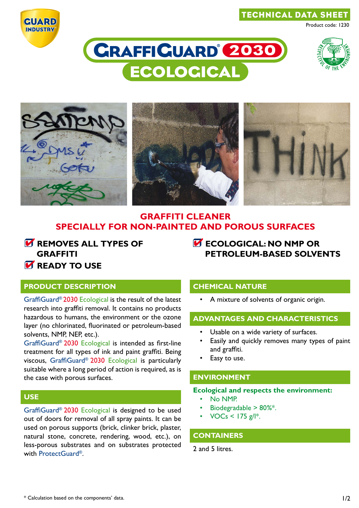#### technical data sheet



# **CRAFFICUARD 2030 ECOLOGICAL**



Product code: 1230



### **GRAFFITI CLEANER SPECIALLY FOR NON-PAINTED AND POROUS SURFACES**

*K* REMOVES ALL TYPES OF **graffiti**

## **Ecological: NO NMP OR PETROLEUM-BASED SOLVENTS**

# *READY TO USE*

#### **product description**

GraffiGuard® 2030 Ecological is the result of the latest research into graffiti removal. It contains no products hazardous to humans, the environment or the ozone layer (no chlorinated, fluorinated or petroleum-based solvents, NMP, NEP, etc.).

GraffiGuard® 2030 Ecological is intended as first-line treatment for all types of ink and paint graffiti. Being viscous, GraffiGuard® 2030 Ecological is particularly suitable where a long period of action is required, as is the case with porous surfaces.

#### **use**

GraffiGuard® 2030 Ecological is designed to be used out of doors for removal of all spray paints. It can be used on porous supports (brick, clinker brick, plaster, natural stone, concrete, rendering, wood, etc.), on less-porous substrates and on substrates protected with ProtectGuard®.

#### **chemical nature**

A mixture of solvents of organic origin.

#### **advantages and characteristics**

- Usable on a wide variety of surfaces.
- Easily and quickly removes many types of paint and graffiti.
- Easy to use.

#### **environment**

#### **Ecological and respects the environment:**

- No NMP.
- Biodegradable  $> 80\%$ \*.
- $VOCs < 175$  g/l<sup>\*</sup>.

#### **containers**

2 and 5 litres.